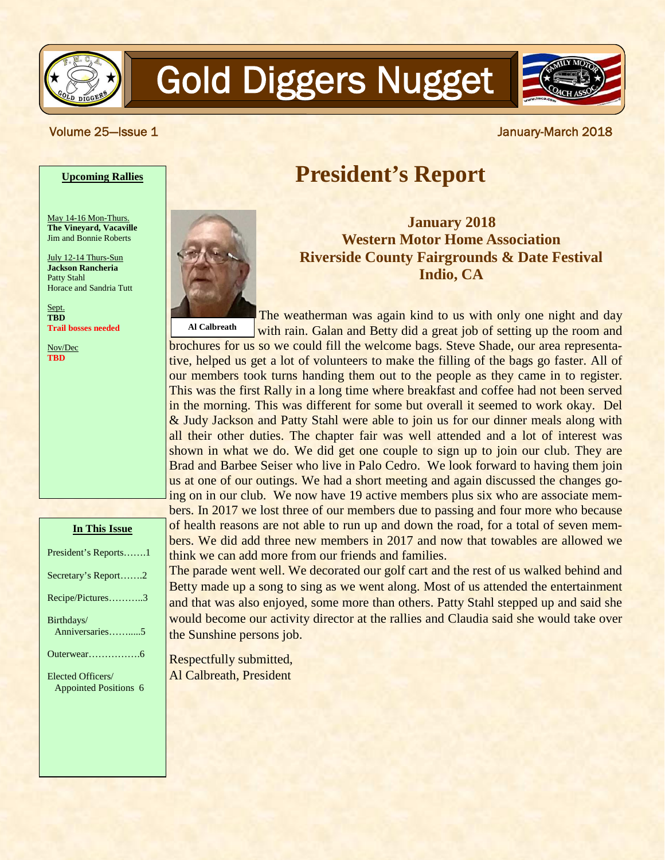

# Gold Diggers Nugget



#### **Upcoming Rallies**

May 14-16 Mon-Thurs. **The Vineyard, Vacaville** Jim and Bonnie Roberts

July 12-14 Thurs-Sun **Jackson Rancheria** Patty Stahl Horace and Sandria Tutt

Sept. **TBD Trail bosses needed**

Nov/Dec **TBD**

| n 1 nis issue                                     |
|---------------------------------------------------|
| President's Reports1                              |
| Secretary's Report2                               |
| Recipe/Pictures3                                  |
| Birthdays/<br>Anniversaries5                      |
|                                                   |
| Elected Officers/<br><b>Appointed Positions 6</b> |
|                                                   |

**In This Issue**

# **President's Report**

**January 2018 Western Motor Home Association Riverside County Fairgrounds & Date Festival Indio, CA**

The weatherman was again kind to us with only one night and day with rain. Galan and Betty did a great job of setting up the room and **Al Calbreath**

brochures for us so we could fill the welcome bags. Steve Shade, our area representative, helped us get a lot of volunteers to make the filling of the bags go faster. All of our members took turns handing them out to the people as they came in to register. This was the first Rally in a long time where breakfast and coffee had not been served in the morning. This was different for some but overall it seemed to work okay. Del & Judy Jackson and Patty Stahl were able to join us for our dinner meals along with all their other duties. The chapter fair was well attended and a lot of interest was shown in what we do. We did get one couple to sign up to join our club. They are Brad and Barbee Seiser who live in Palo Cedro. We look forward to having them join us at one of our outings. We had a short meeting and again discussed the changes going on in our club. We now have 19 active members plus six who are associate members. In 2017 we lost three of our members due to passing and four more who because of health reasons are not able to run up and down the road, for a total of seven members. We did add three new members in 2017 and now that towables are allowed we think we can add more from our friends and families.

The parade went well. We decorated our golf cart and the rest of us walked behind and Betty made up a song to sing as we went along. Most of us attended the entertainment and that was also enjoyed, some more than others. Patty Stahl stepped up and said she would become our activity director at the rallies and Claudia said she would take over the Sunshine persons job.

Respectfully submitted, Al Calbreath, President



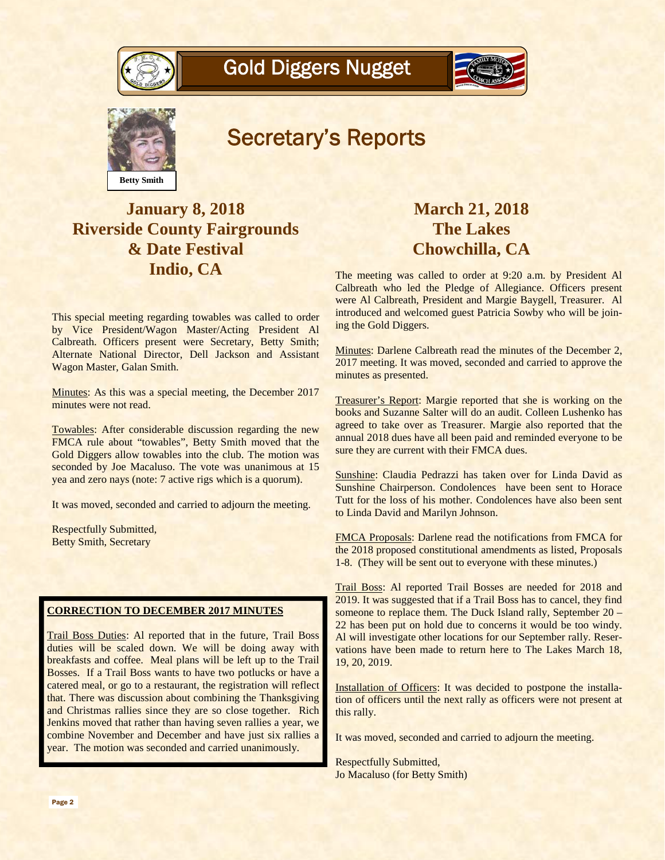





# Secretary's Reports

# **January 8, 2018 Riverside County Fairgrounds & Date Festival Indio, CA**

This special meeting regarding towables was called to order by Vice President/Wagon Master/Acting President Al Calbreath. Officers present were Secretary, Betty Smith; Alternate National Director, Dell Jackson and Assistant Wagon Master, Galan Smith.

Minutes: As this was a special meeting, the December 2017 minutes were not read.

Towables: After considerable discussion regarding the new FMCA rule about "towables", Betty Smith moved that the Gold Diggers allow towables into the club. The motion was seconded by Joe Macaluso. The vote was unanimous at 15 yea and zero nays (note: 7 active rigs which is a quorum).

It was moved, seconded and carried to adjourn the meeting.

Respectfully Submitted, Betty Smith, Secretary

#### **CORRECTION TO DECEMBER 2017 MINUTES**

Trail Boss Duties: Al reported that in the future, Trail Boss duties will be scaled down. We will be doing away with breakfasts and coffee. Meal plans will be left up to the Trail Bosses. If a Trail Boss wants to have two potlucks or have a catered meal, or go to a restaurant, the registration will reflect that. There was discussion about combining the Thanksgiving and Christmas rallies since they are so close together. Rich Jenkins moved that rather than having seven rallies a year, we combine November and December and have just six rallies a year. The motion was seconded and carried unanimously.

## **March 21, 2018 The Lakes Chowchilla, CA**

The meeting was called to order at 9:20 a.m. by President Al Calbreath who led the Pledge of Allegiance. Officers present were Al Calbreath, President and Margie Baygell, Treasurer. Al introduced and welcomed guest Patricia Sowby who will be joining the Gold Diggers.

Minutes: Darlene Calbreath read the minutes of the December 2, 2017 meeting. It was moved, seconded and carried to approve the minutes as presented.

Treasurer's Report: Margie reported that she is working on the books and Suzanne Salter will do an audit. Colleen Lushenko has agreed to take over as Treasurer. Margie also reported that the annual 2018 dues have all been paid and reminded everyone to be sure they are current with their FMCA dues.

Sunshine: Claudia Pedrazzi has taken over for Linda David as Sunshine Chairperson. Condolences have been sent to Horace Tutt for the loss of his mother. Condolences have also been sent to Linda David and Marilyn Johnson.

FMCA Proposals: Darlene read the notifications from FMCA for the 2018 proposed constitutional amendments as listed, Proposals 1-8. (They will be sent out to everyone with these minutes.)

Trail Boss: Al reported Trail Bosses are needed for 2018 and 2019. It was suggested that if a Trail Boss has to cancel, they find someone to replace them. The Duck Island rally, September 20 – 22 has been put on hold due to concerns it would be too windy. Al will investigate other locations for our September rally. Reservations have been made to return here to The Lakes March 18, 19, 20, 2019.

Installation of Officers: It was decided to postpone the installation of officers until the next rally as officers were not present at this rally.

It was moved, seconded and carried to adjourn the meeting.

Respectfully Submitted, Jo Macaluso (for Betty Smith)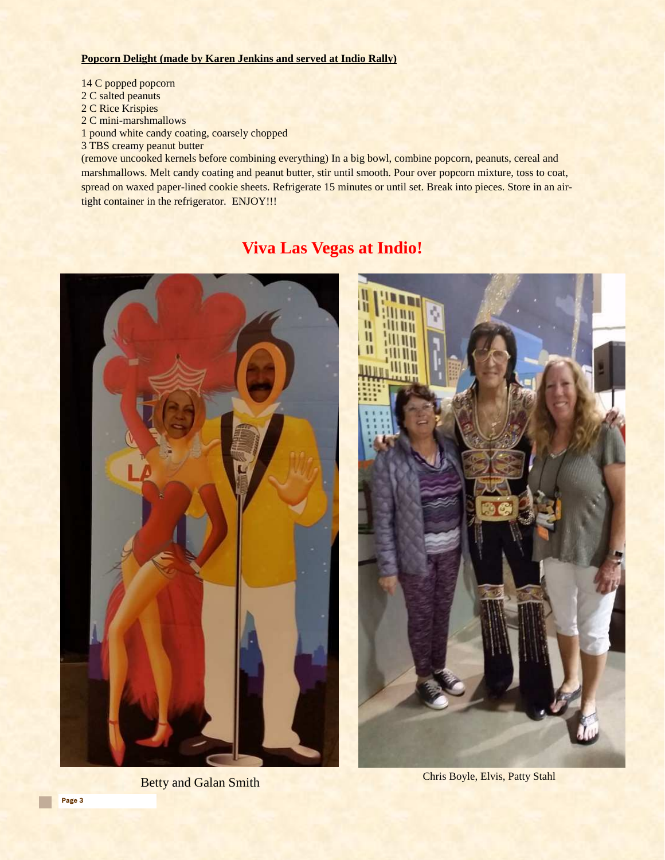#### **Popcorn Delight (made by Karen Jenkins and served at Indio Rally)**

14 C popped popcorn 2 C salted peanuts 2 C Rice Krispies 2 C mini-marshmallows 1 pound white candy coating, coarsely chopped 3 TBS creamy peanut butter

(remove uncooked kernels before combining everything) In a big bowl, combine popcorn, peanuts, cereal and marshmallows. Melt candy coating and peanut butter, stir until smooth. Pour over popcorn mixture, toss to coat, spread on waxed paper-lined cookie sheets. Refrigerate 15 minutes or until set. Break into pieces. Store in an airtight container in the refrigerator. ENJOY!!!

### **Viva Las Vegas at Indio!**



Betty and Galan Smith Chris Boyle, Elvis, Patty Stahl

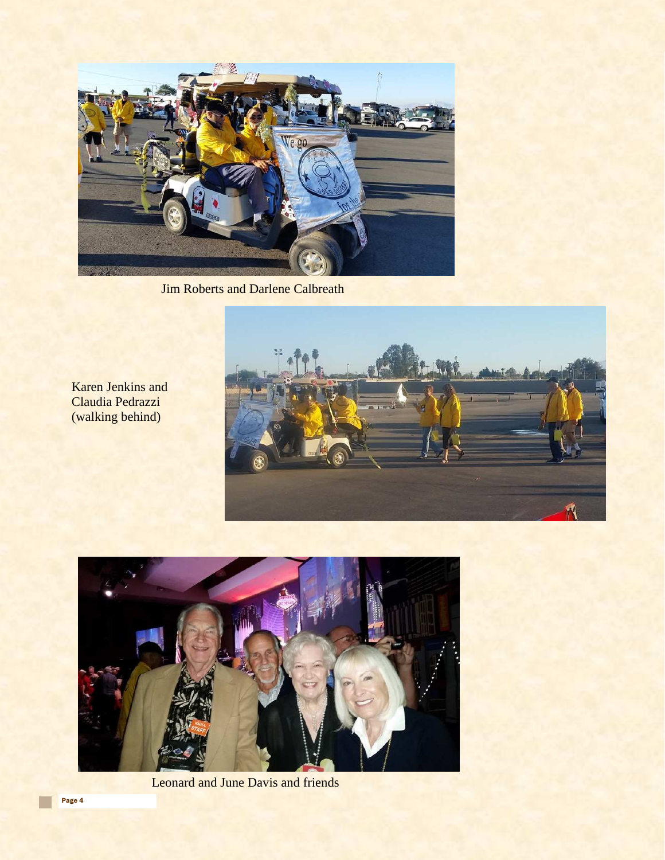

**Jim Roberts and Darlene Calbreath** 



Karen Jenkins and Claudia Pedrazzi (walking behind)



Leonard and June Davis and friends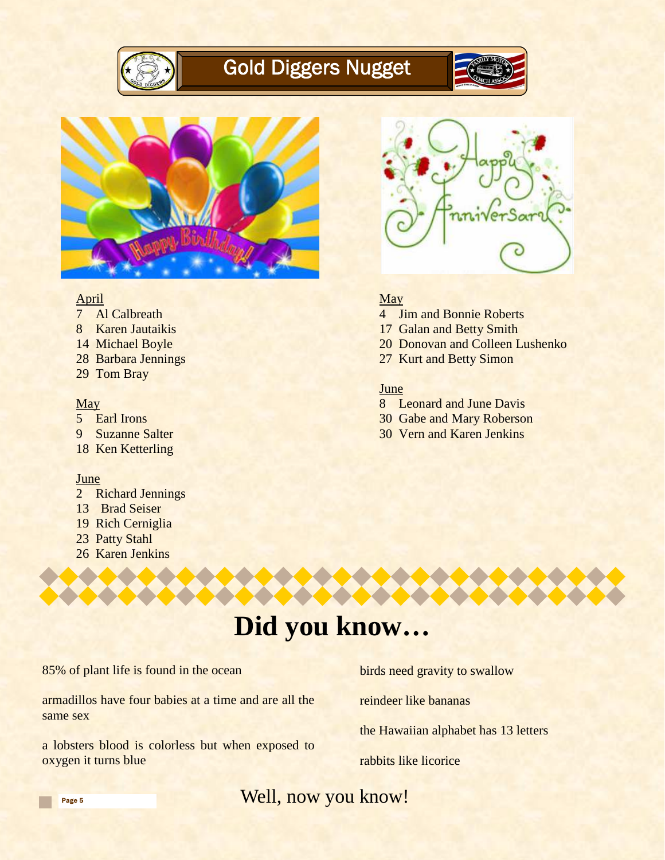

# Gold Diggers Nugget





#### April

- 7 Al Calbreath
- 8 Karen Jautaikis
- 14 Michael Boyle
- 28 Barbara Jennings
- 29 Tom Bray

#### May

- 5 Earl Irons
- 9 Suzanne Salter
- 18 Ken Ketterling

#### June

- 2 Richard Jennings
- 13 Brad Seiser
- 19 Rich Cerniglia
- 23 Patty Stahl
- 26 Karen Jenkins



#### **May**

- 4 Jim and Bonnie Roberts
- 17 Galan and Betty Smith
- 20 Donovan and Colleen Lushenko
- 27 Kurt and Betty Simon

#### June

- 8 Leonard and June Davis
- 30 Gabe and Mary Roberson
- 30 Vern and Karen Jenkins

# **Did you know…**

85% of plant life is found in the ocean

armadillos have four babies at a time and are all the same sex

a lobsters blood is colorless but when exposed to oxygen it turns blue

birds need gravity to swallow

reindeer like bananas

the Hawaiian alphabet has 13 letters

rabbits like licorice

Well, now you know!